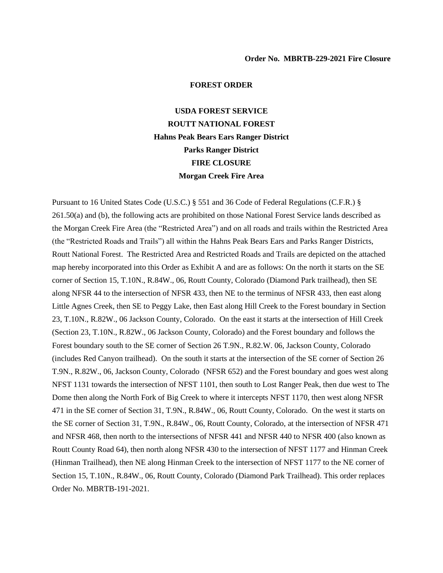## **FOREST ORDER**

## **USDA FOREST SERVICE ROUTT NATIONAL FOREST Hahns Peak Bears Ears Ranger District Parks Ranger District FIRE CLOSURE Morgan Creek Fire Area**

Pursuant to 16 United States Code (U.S.C.) § 551 and 36 Code of Federal Regulations (C.F.R.) § 261.50(a) and (b), the following acts are prohibited on those National Forest Service lands described as the Morgan Creek Fire Area (the "Restricted Area") and on all roads and trails within the Restricted Area (the "Restricted Roads and Trails") all within the Hahns Peak Bears Ears and Parks Ranger Districts, Routt National Forest. The Restricted Area and Restricted Roads and Trails are depicted on the attached map hereby incorporated into this Order as Exhibit A and are as follows: On the north it starts on the SE corner of Section 15, T.10N., R.84W., 06, Routt County, Colorado (Diamond Park trailhead), then SE along NFSR 44 to the intersection of NFSR 433, then NE to the terminus of NFSR 433, then east along Little Agnes Creek, then SE to Peggy Lake, then East along Hill Creek to the Forest boundary in Section 23, T.10N., R.82W., 06 Jackson County, Colorado. On the east it starts at the intersection of Hill Creek (Section 23, T.10N., R.82W., 06 Jackson County, Colorado) and the Forest boundary and follows the Forest boundary south to the SE corner of Section 26 T.9N., R.82.W. 06, Jackson County, Colorado (includes Red Canyon trailhead). On the south it starts at the intersection of the SE corner of Section 26 T.9N., R.82W., 06, Jackson County, Colorado (NFSR 652) and the Forest boundary and goes west along NFST 1131 towards the intersection of NFST 1101, then south to Lost Ranger Peak, then due west to The Dome then along the North Fork of Big Creek to where it intercepts NFST 1170, then west along NFSR 471 in the SE corner of Section 31, T.9N., R.84W., 06, Routt County, Colorado. On the west it starts on the SE corner of Section 31, T.9N., R.84W., 06, Routt County, Colorado, at the intersection of NFSR 471 and NFSR 468, then north to the intersections of NFSR 441 and NFSR 440 to NFSR 400 (also known as Routt County Road 64), then north along NFSR 430 to the intersection of NFST 1177 and Hinman Creek (Hinman Trailhead), then NE along Hinman Creek to the intersection of NFST 1177 to the NE corner of Section 15, T.10N., R.84W., 06, Routt County, Colorado (Diamond Park Trailhead). This order replaces Order No. MBRTB-191-2021.